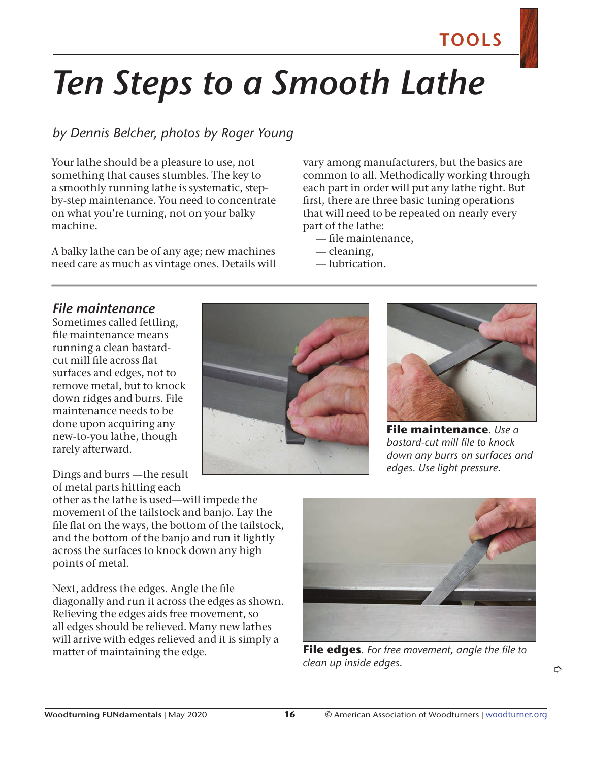# *Ten Steps to a Smooth Lathe*

### *by Dennis Belcher, photos by Roger Young*

Your lathe should be a pleasure to use, not something that causes stumbles. The key to a smoothly running lathe is systematic, stepby-step maintenance. You need to concentrate on what you're turning, not on your balky machine.

A balky lathe can be of any age; new machines need care as much as vintage ones. Details will vary among manufacturers, but the basics are common to all. Methodically working through each part in order will put any lathe right. But first, there are three basic tuning operations that will need to be repeated on nearly every part of the lathe:

- file maintenance,
- cleaning,
- lubrication.

### *File maintenance*

Sometimes called fettling, file maintenance means running a clean bastardcut mill file across flat surfaces and edges, not to remove metal, but to knock down ridges and burrs. File maintenance needs to be done upon acquiring any new-to-you lathe, though rarely afterward.

Dings and burrs —the result of metal parts hitting each

other as the lathe is used—will impede the movement of the tailstock and banjo. Lay the file flat on the ways, the bottom of the tailstock, and the bottom of the banjo and run it lightly across the surfaces to knock down any high points of metal.

Next, address the edges. Angle the file diagonally and run it across the edges as shown. Relieving the edges aids free movement, so all edges should be relieved. Many new lathes will arrive with edges relieved and it is simply a matter of maintaining the edge. **File edges***. For free movement, angle the file to* 





**File maintenance***. Use a bastard-cut mill file to knock down any burrs on surfaces and edges. Use light pressure.*



*clean up inside edges.*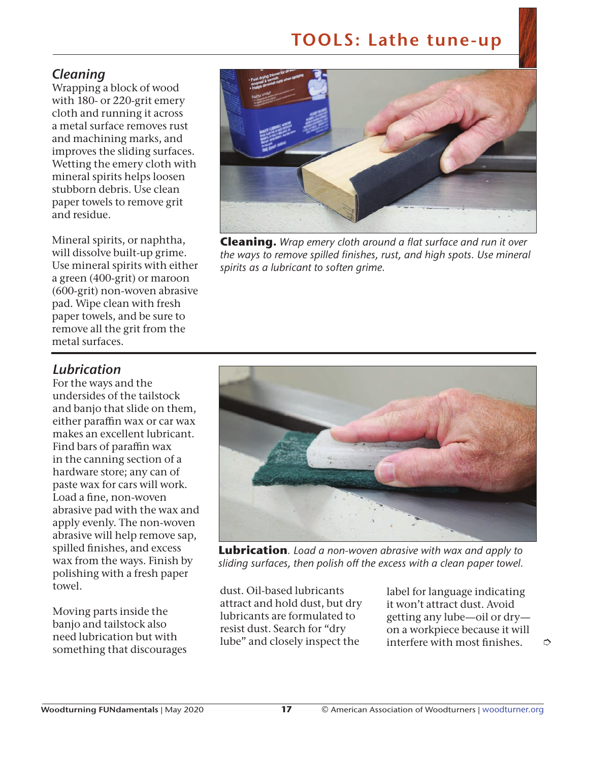### *Cleaning*

Wrapping a block of wood with 180- or 220-grit emery cloth and running it across a metal surface removes rust and machining marks, and improves the sliding surfaces. Wetting the emery cloth with mineral spirits helps loosen stubborn debris. Use clean paper towels to remove grit and residue.

Mineral spirits, or naphtha, will dissolve built-up grime. Use mineral spirits with either a green (400-grit) or maroon (600-grit) non-woven abrasive pad. Wipe clean with fresh paper towels, and be sure to remove all the grit from the metal surfaces.



**Cleaning.** *Wrap emery cloth around a flat surface and run it over the ways to remove spilled finishes, rust, and high spots. Use mineral spirits as a lubricant to soften grime.* 

### *Lubrication*

For the ways and the undersides of the tailstock and banjo that slide on them, either paraffin wax or car wax makes an excellent lubricant. Find bars of paraffin wax in the canning section of a hardware store; any can of paste wax for cars will work. Load a fine, non-woven abrasive pad with the wax and apply evenly. The non-woven abrasive will help remove sap, spilled finishes, and excess wax from the ways. Finish by polishing with a fresh paper towel.

Moving parts inside the banjo and tailstock also need lubrication but with something that discourages



**Lubrication***. Load a non-woven abrasive with wax and apply to sliding surfaces, then polish off the excess with a clean paper towel.*

dust. Oil-based lubricants attract and hold dust, but dry lubricants are formulated to resist dust. Search for "dry lube" and closely inspect the

label for language indicating it won't attract dust. Avoid getting any lube—oil or dry on a workpiece because it will interfere with most finishes.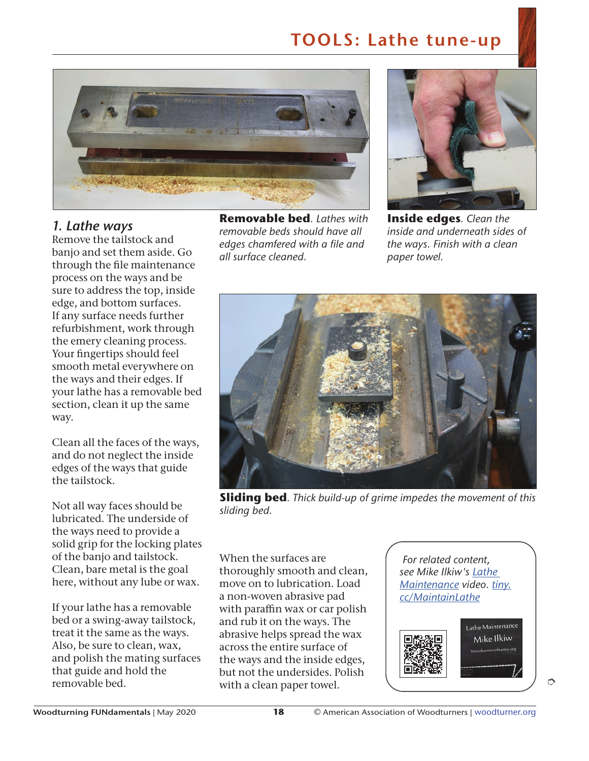

### *1. Lathe ways*

Remove the tailstock and banjo and set them aside. Go through the file maintenance process on the ways and be sure to address the top, inside edge, and bottom surfaces. If any surface needs further refurbishment, work through the emery cleaning process. Your fingertips should feel smooth metal everywhere on the ways and their edges. If your lathe has a removable bed section, clean it up the same way.

Clean all the faces of the ways, and do not neglect the inside edges of the ways that guide the tailstock.

Not all way faces should be lubricated. The underside of the ways need to provide a solid grip for the locking plates of the banjo and tailstock. Clean, bare metal is the goal here, without any lube or wax.

If your lathe has a removable bed or a swing-away tailstock, treat it the same as the ways. Also, be sure to clean, wax, and polish the mating surfaces that guide and hold the removable bed.

**Removable bed***. Lathes with removable beds should have all edges chamfered with a file and all surface cleaned.*



**Inside edges***. Clean the inside and underneath sides of the ways. Finish with a clean paper towel.*



**Sliding bed***. Thick build-up of grime impedes the movement of this sliding bed.* 

When the surfaces are thoroughly smooth and clean, move on to lubrication. Load a non-woven abrasive pad with paraffin wax or car polish and rub it on the ways. The abrasive helps spread the wax across the entire surface of the ways and the inside edges, but not the undersides. Polish with a clean paper towel.

*For related content, see Mike Ilkiw's Lathe Maintenance video. tiny. cc/MaintainLathe*

> Lathe Maintenance Mike Ilkiw mercafswm

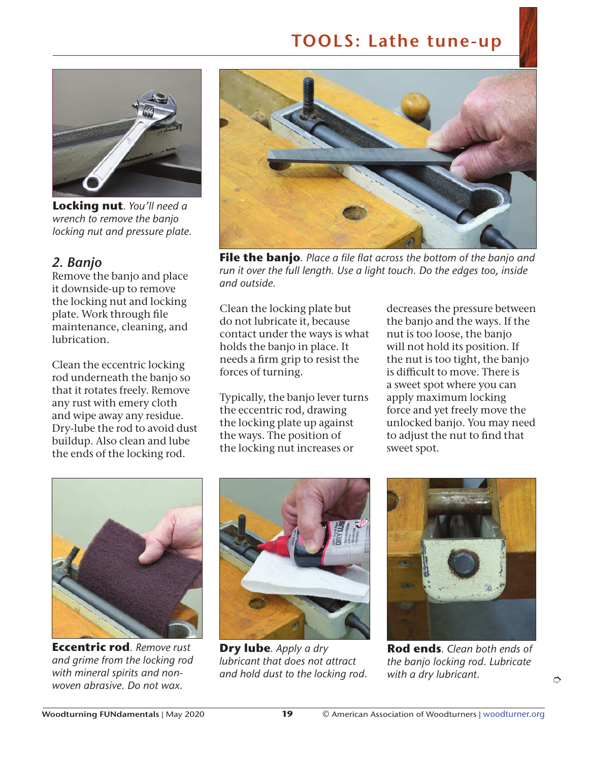

**Locking nut***. You'll need a wrench to remove the banjo locking nut and pressure plate.*

#### *2. Banjo*

Remove the banjo and place it downside-up to remove the locking nut and locking plate. Work through file maintenance, cleaning, and lubrication.

Clean the eccentric locking rod underneath the banjo so that it rotates freely. Remove any rust with emery cloth and wipe away any residue. Dry-lube the rod to avoid dust buildup. Also clean and lube the ends of the locking rod.



**File the banjo***. Place a file flat across the bottom of the banjo and run it over the full length. Use a light touch. Do the edges too, inside and outside.*

Clean the locking plate but do not lubricate it, because contact under the ways is what holds the banjo in place. It needs a firm grip to resist the forces of turning.

Typically, the banjo lever turns the eccentric rod, drawing the locking plate up against the ways. The position of the locking nut increases or

decreases the pressure between the banjo and the ways. If the nut is too loose, the banjo will not hold its position. If the nut is too tight, the banjo is difficult to move. There is a sweet spot where you can apply maximum locking force and yet freely move the unlocked banjo. You may need to adjust the nut to find that sweet spot.



**Eccentric rod***. Remove rust and grime from the locking rod with mineral spirits and nonwoven abrasive. Do not wax.*



**Dry lube***. Apply a dry lubricant that does not attract and hold dust to the locking rod.* 



**Rod ends***. Clean both ends of the banjo locking rod. Lubricate with a dry lubricant.*

➮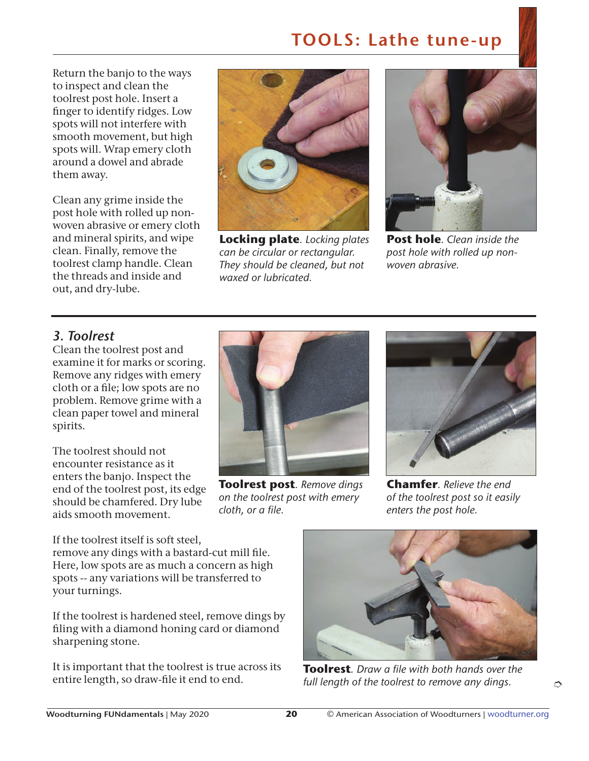Return the banjo to the ways to inspect and clean the toolrest post hole. Insert a finger to identify ridges. Low spots will not interfere with smooth movement, but high spots will. Wrap emery cloth around a dowel and abrade them away.

Clean any grime inside the post hole with rolled up nonwoven abrasive or emery cloth and mineral spirits, and wipe clean. Finally, remove the toolrest clamp handle. Clean the threads and inside and out, and dry-lube.



**Locking plate***. Locking plates can be circular or rectangular. They should be cleaned, but not waxed or lubricated.*



**Post hole***. Clean inside the post hole with rolled up nonwoven abrasive.*

### *3. Toolrest*

Clean the toolrest post and examine it for marks or scoring. Remove any ridges with emery cloth or a file; low spots are no problem. Remove grime with a clean paper towel and mineral spirits.

The toolrest should not encounter resistance as it enters the banjo. Inspect the end of the toolrest post, its edge should be chamfered. Dry lube aids smooth movement.



**Toolrest post***. Remove dings on the toolrest post with emery cloth, or a file.*



**Chamfer***. Relieve the end of the toolrest post so it easily enters the post hole.*

If the toolrest itself is soft steel, remove any dings with a bastard-cut mill file. Here, low spots are as much a concern as high spots -- any variations will be transferred to your turnings.

If the toolrest is hardened steel, remove dings by filing with a diamond honing card or diamond sharpening stone.

It is important that the toolrest is true across its entire length, so draw-file it end to end.



**Toolrest***. Draw a file with both hands over the full length of the toolrest to remove any dings.*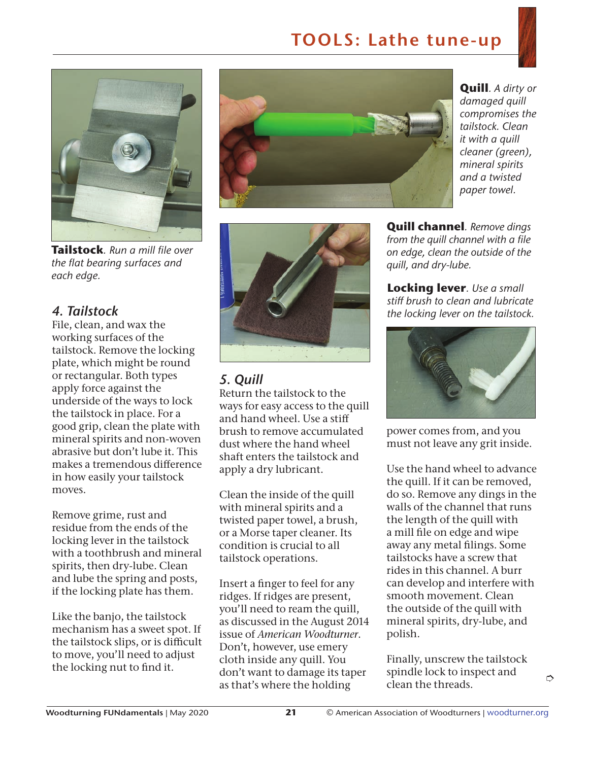

**Tailstock***. Run a mill file over the flat bearing surfaces and each edge.*

### *4. Tailstock*

File, clean, and wax the working surfaces of the tailstock. Remove the locking plate, which might be round or rectangular. Both types apply force against the underside of the ways to lock the tailstock in place. For a good grip, clean the plate with mineral spirits and non-woven abrasive but don't lube it. This makes a tremendous difference in how easily your tailstock moves.

Remove grime, rust and residue from the ends of the locking lever in the tailstock with a toothbrush and mineral spirits, then dry-lube. Clean and lube the spring and posts, if the locking plate has them.

Like the banjo, the tailstock mechanism has a sweet spot. If the tailstock slips, or is difficult to move, you'll need to adjust the locking nut to find it.



**Quill***. A dirty or damaged quill compromises the tailstock. Clean it with a quill cleaner (green), mineral spirits and a twisted paper towel.*



### *5. Quill*

Return the tailstock to the ways for easy access to the quill and hand wheel. Use a stiff brush to remove accumulated dust where the hand wheel shaft enters the tailstock and apply a dry lubricant.

Clean the inside of the quill with mineral spirits and a twisted paper towel, a brush, or a Morse taper cleaner. Its condition is crucial to all tailstock operations.

Insert a finger to feel for any ridges. If ridges are present, you'll need to ream the quill, as discussed in the August 2014 issue of *American Woodturner*. Don't, however, use emery cloth inside any quill. You don't want to damage its taper as that's where the holding

**Quill channel***. Remove dings from the quill channel with a file on edge, clean the outside of the quill, and dry-lube.*

**Locking lever***. Use a small stiff brush to clean and lubricate the locking lever on the tailstock.*



power comes from, and you must not leave any grit inside.

Use the hand wheel to advance the quill. If it can be removed, do so. Remove any dings in the walls of the channel that runs the length of the quill with a mill file on edge and wipe away any metal filings. Some tailstocks have a screw that rides in this channel. A burr can develop and interfere with smooth movement. Clean the outside of the quill with mineral spirits, dry-lube, and polish.

Finally, unscrew the tailstock spindle lock to inspect and clean the threads.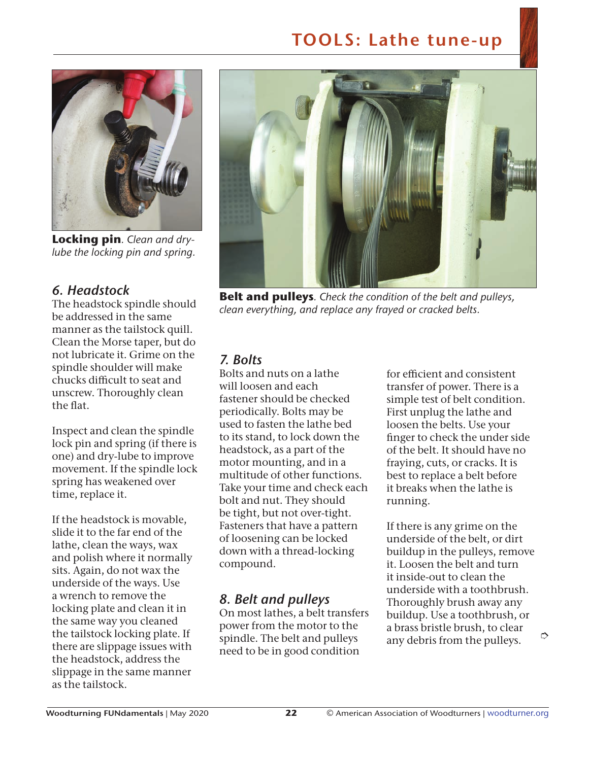

**Locking pin***. Clean and drylube the locking pin and spring.*

#### *6. Headstock*

The headstock spindle should be addressed in the same manner as the tailstock quill. Clean the Morse taper, but do not lubricate it. Grime on the spindle shoulder will make chucks difficult to seat and unscrew. Thoroughly clean the flat.

Inspect and clean the spindle lock pin and spring (if there is one) and dry-lube to improve movement. If the spindle lock spring has weakened over time, replace it.

If the headstock is movable, slide it to the far end of the lathe, clean the ways, wax and polish where it normally sits. Again, do not wax the underside of the ways. Use a wrench to remove the locking plate and clean it in the same way you cleaned the tailstock locking plate. If there are slippage issues with the headstock, address the slippage in the same manner as the tailstock.



**Belt and pulleys***. Check the condition of the belt and pulleys, clean everything, and replace any frayed or cracked belts.*

### *7. Bolts*

Bolts and nuts on a lathe will loosen and each fastener should be checked periodically. Bolts may be used to fasten the lathe bed to its stand, to lock down the headstock, as a part of the motor mounting, and in a multitude of other functions. Take your time and check each bolt and nut. They should be tight, but not over-tight. Fasteners that have a pattern of loosening can be locked down with a thread-locking compound.

### *8. Belt and pulleys*

On most lathes, a belt transfers power from the motor to the spindle. The belt and pulleys need to be in good condition

for efficient and consistent transfer of power. There is a simple test of belt condition. First unplug the lathe and loosen the belts. Use your finger to check the under side of the belt. It should have no fraying, cuts, or cracks. It is best to replace a belt before it breaks when the lathe is running.

If there is any grime on the underside of the belt, or dirt buildup in the pulleys, remove it. Loosen the belt and turn it inside-out to clean the underside with a toothbrush. Thoroughly brush away any buildup. Use a toothbrush, or a brass bristle brush, to clear any debris from the pulleys.